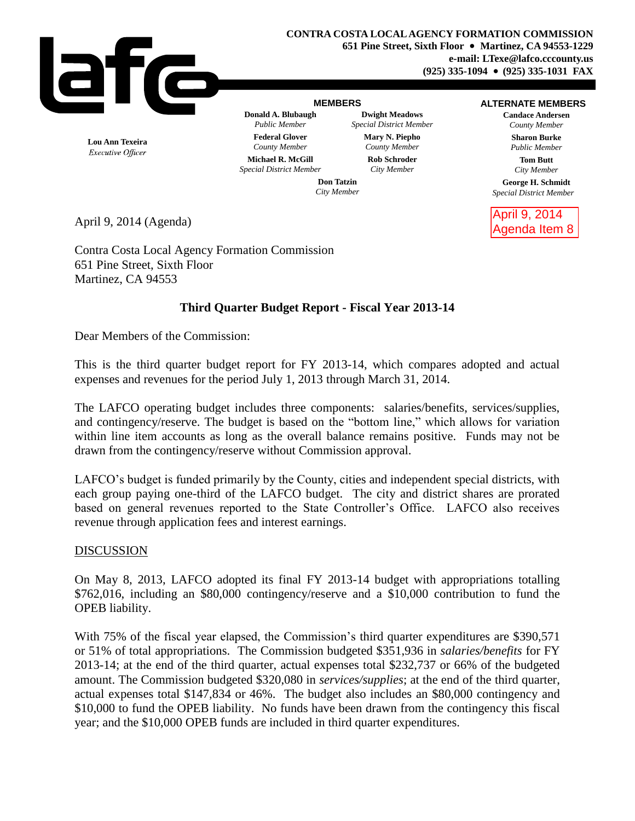

### **MEMBERS**

**Donald A. Blubaugh Dwight Meadows** *Public Member Special District Member* **Federal Glover Mary N. Piepho** *County Member County Member* **Michael R. McGill Rob Schroder**

#### **ALTERNATE MEMBERS**

**Candace Andersen** *County Member* **Sharon Burke** *Public Member*

> **Tom Butt** *City Member*

**George H. Schmidt** *Special District Member*

April 9, 2014 Agenda Item 8

**Lou Ann Texeira** Executive Officer *Special District Member City Member*

**Don Tatzin** *City Member*

April 9, 2014 (Agenda)

Contra Costa Local Agency Formation Commission 651 Pine Street, Sixth Floor Martinez, CA 94553

# **Third Quarter Budget Report - Fiscal Year 2013-14**

Dear Members of the Commission:

This is the third quarter budget report for FY 2013-14, which compares adopted and actual expenses and revenues for the period July 1, 2013 through March 31, 2014.

The LAFCO operating budget includes three components: salaries/benefits, services/supplies, and contingency/reserve. The budget is based on the "bottom line," which allows for variation within line item accounts as long as the overall balance remains positive. Funds may not be drawn from the contingency/reserve without Commission approval.

LAFCO's budget is funded primarily by the County, cities and independent special districts, with each group paying one-third of the LAFCO budget. The city and district shares are prorated based on general revenues reported to the State Controller's Office. LAFCO also receives revenue through application fees and interest earnings.

## DISCUSSION

On May 8, 2013, LAFCO adopted its final FY 2013-14 budget with appropriations totalling \$762,016, including an \$80,000 contingency/reserve and a \$10,000 contribution to fund the OPEB liability.

With 75% of the fiscal year elapsed, the Commission's third quarter expenditures are \$390,571 or 51% of total appropriations. The Commission budgeted \$351,936 in *salaries/benefits* for FY 2013-14; at the end of the third quarter, actual expenses total \$232,737 or 66% of the budgeted amount. The Commission budgeted \$320,080 in *services/supplies*; at the end of the third quarter, actual expenses total \$147,834 or 46%. The budget also includes an \$80,000 contingency and \$10,000 to fund the OPEB liability. No funds have been drawn from the contingency this fiscal year; and the \$10,000 OPEB funds are included in third quarter expenditures.